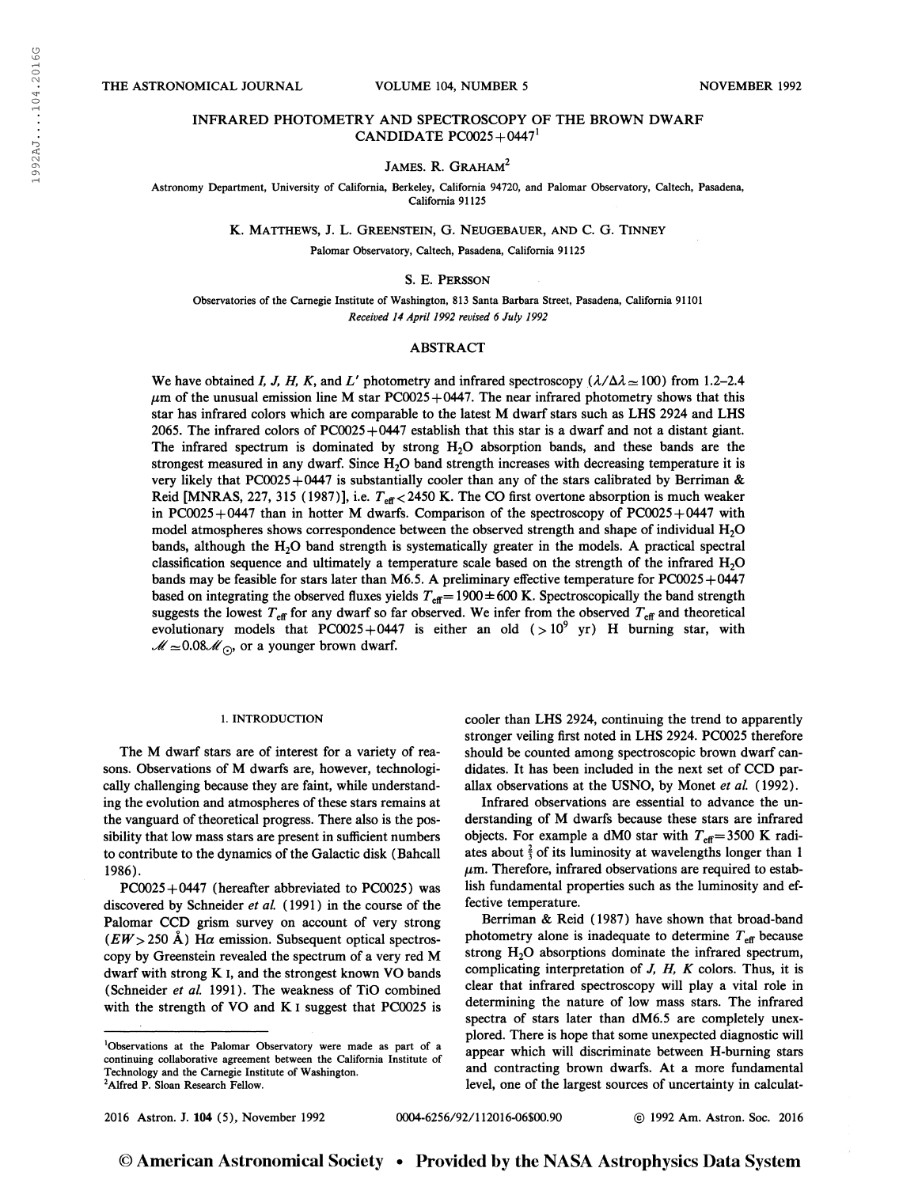# INFRARED PHOTOMETRY AND SPECTROSCOPY OF THE BROWN DWARF CANDIDATE  $PC0025 + 0447$ <sup>1</sup>

# JAMES. R. GRAHAM<sup>2</sup>

Astronomy Department, University of California, Berkeley, California 94720, and Palomar Observatory, Caltech, Pasadena, California 91125

K. Matthews, J. L. Greenstein, G. Neugebauer, and C. G. Tinney

Palomar Observatory, Caltech, Pasadena, California 91125

## S. E. Persson

Observatories of the Carnegie Institute of Washington, 813 Santa Barbara Street, Pasadena, California 91101 Received 14 April 1992 revised 6 July 1992

## ABSTRACT

We have obtained I, J, H, K, and L' photometry and infrared spectroscopy ( $\lambda/\Delta\lambda \approx 100$ ) from 1.2-2.4  $\mu$ m of the unusual emission line M star PC0025+0447. The near infrared photometry shows that this star has infrared colors which are comparable to the latest M dwarf stars such as LHS 2924 and LHS 2065. The infrared colors of PC0025 +0447 establish that this star is a dwarf and not a distant giant. The infrared spectrum is dominated by strong  $H_2O$  absorption bands, and these bands are the strongest measured in any dwarf. Since  $H_2O$  band strength increases with decreasing temperature it is very likely that PC0025+0447 is substantially cooler than any of the stars calibrated by Berriman & Reid [MNRAS, 227, 315 (1987)], i.e.  $T_{\text{eff}}$  < 2450 K. The CO first overtone absorption is much weaker in PC0025+0447 than in hotter M dwarfs. Comparison of the spectroscopy of PC0025+0447 with model atmospheres shows correspondence between the observed strength and shape of individual H<sub>2</sub>O bands, although the  $H_2O$  band strength is systematically greater in the models. A practical spectral classification sequence and ultimately a temperature scale based on the strength of the infrared  $H<sub>2</sub>O$ bands may be feasible for stars later than M6.5. A preliminary effective temperature for PC0025+0447 based on integrating the observed fluxes yields  $T_{\text{eff}} = 1900 \pm 600$  K. Spectroscopically the band strength suggests the lowest  $T_{\text{eff}}$  for any dwarf so far observed. We infer from the observed  $T_{\text{eff}}$  and theoretical evolutionary models that PC0025+0447 is either an old  $(>10^9 \text{ yr})$  H burning star, with  $\mathcal{M} \simeq 0.08\mathcal{M}$  or a younger brown dwarf.

### 1. INTRODUCTION

The M dwarf stars are of interest for a variety of reasons. Observations of M dwarfs are, however, technologically challenging because they are faint, while understanding the evolution and atmospheres of these stars remains at the vanguard of theoretical progress. There also is the possibility that low mass stars are present in sufficient numbers to contribute to the dynamics of the Galactic disk (Bahcall 1986).

 $PC0025+0447$  (hereafter abbreviated to PC0025) was discovered by Schneider et al. (1991) in the course of the Palomar CCD grism survey on account of very strong  $(EW> 250 \text{ Å})$  H $\alpha$  emission. Subsequent optical spectroscopy by Greenstein revealed the spectrum of a very red M dwarf with strong K I, and the strongest known VO bands (Schneider et al. 1991). The weakness of TiO combined with the strength of VO and K I suggest that PC0025 is

'Observations at the Palomar Observatory were made as part of a continuing collaborative agreement between the California Institute of Technology and the Carnegie Institute of Washington. <sup>2</sup>Alfred P. Sloan Research Fellow.

cooler than LHS 2924, continuing the trend to apparently stronger veiling first noted in LHS 2924. PC0025 therefore should be counted among spectroscopic brown dwarf candidates. It has been included in the next set of CCD parallax observations at the USNO, by Monet et al. (1992).

Infrared observations are essential to advance the understanding of M dwarfs because these stars are infrared objects. For example a dM0 star with  $T_{\text{eff}}$  = 3500 K radiates about  $\frac{2}{3}$  of its luminosity at wavelengths longer than 1  $\mu$ m. Therefore, infrared observations are required to establish fundamental properties such as the luminosity and effective temperature.

Berriman & Reid (1987) have shown that broad-band photometry alone is inadequate to determine  $T_{\text{eff}}$  because strong  $H<sub>2</sub>O$  absorptions dominate the infrared spectrum, complicating interpretation of  $J$ ,  $H$ ,  $K$  colors. Thus, it is clear that infrared spectroscopy will play a vital role in determining the nature of low mass stars. The infrared spectra of stars later than dM6.5 are completely unexplored. There is hope that some unexpected diagnostic will appear which will discriminate between H-burning stars and contracting brown dwarfs. At a more fundamental level, one of the largest sources of uncertainty in calculat-

2016 Astron. J. 104 (5), November 1992 0004-6256/92/112016-06S00.90 © 1992 Am. Astron. Soc. 2016

© American Astronomical Society • Provided by the NASA Astrophysics Data System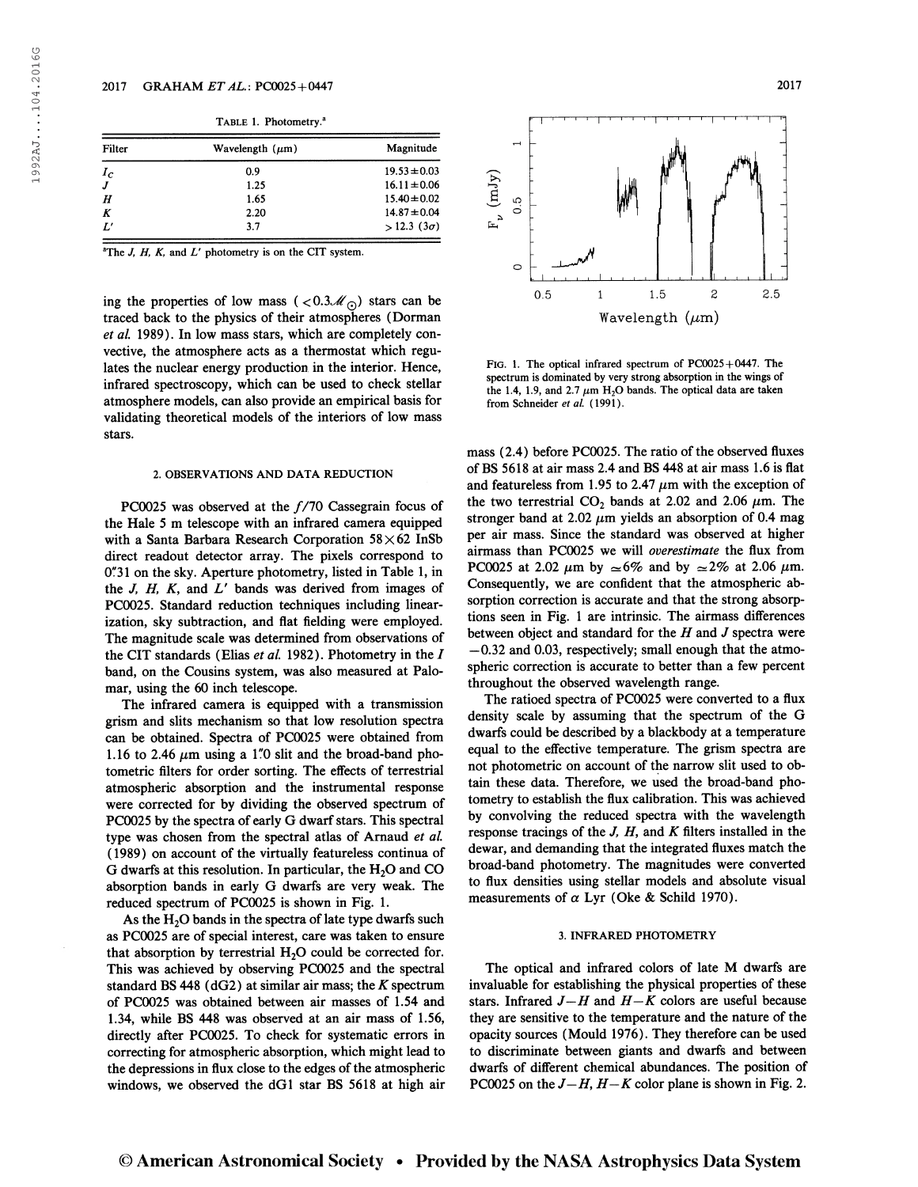|  |  | TABLE 1. Photometry. <sup>a</sup> |
|--|--|-----------------------------------|
|--|--|-----------------------------------|

| Filter       | Wavelength $(\mu m)$ | Magnitude              |
|--------------|----------------------|------------------------|
| $I_c$        | 0.9                  | $19.53 \pm 0.03$       |
| J            | 1.25                 | $16.11 \pm 0.06$       |
| H            | 1.65                 | $15.40 \pm 0.02$       |
| K            | 2.20                 | $14.87 \pm 0.04$       |
| $L^{\prime}$ | 3.7                  | $> 12.3$ (3 $\sigma$ ) |

<sup>a</sup>The *J, H, K,* and  $L'$  photometry is on the CIT system.

ing the properties of low mass ( $\langle 0.3\mathcal{M}_\odot \rangle$  stars can be traced back to the physics of their atmospheres (Dorman et al. 1989). In low mass stars, which are completely convective, the atmosphere acts as a thermostat which regulates the nuclear energy production in the interior. Hence, infrared spectroscopy, which can be used to check stellar atmosphere models, can also provide an empirical basis for validating theoretical models of the interiors of low mass stars.

### 2. OBSERVATIONS AND DATA REDUCTION

PC0025 was observed at the  $f/70$  Cassegrain focus of the Hale 5 m telescope with an infrared camera equipped with a Santa Barbara Research Corporation  $58\times62$  InSb direct readout detector array. The pixels correspond to 0"31 on the sky. Aperture photometry, listed in Table 1, in the  $J$ ,  $H$ ,  $K$ , and  $L'$  bands was derived from images of PC0025. Standard reduction techniques including linearization, sky subtraction, and flat fielding were employed. The magnitude scale was determined from observations of the CIT standards (Elias et al. 1982). Photometry in the  $I$ band, on the Cousins system, was also measured at Palomar, using the 60 inch telescope.

The infrared camera is equipped with a transmission grism and slits mechanism so that low resolution spectra can be obtained. Spectra of PC0025 were obtained from 1.16 to 2.46  $\mu$ m using a 1"0 slit and the broad-band photometric filters for order sorting. The effects of terrestrial atmospheric absorption and the instrumental response were corrected for by dividing the observed spectrum of PC0025 by the spectra of early G dwarf stars. This spectral type was chosen from the spectral atlas of Arnaud et al. (1989) on account of the virtually featureless continua of G dwarfs at this resolution. In particular, the  $H_2O$  and  $CO$ absorption bands in early G dwarfs are very weak. The reduced spectrum of PC0025 is shown in Fig. 1.

As the  $H_2O$  bands in the spectra of late type dwarfs such as PC0025 are of special interest, care was taken to ensure that absorption by terrestrial  $H<sub>2</sub>O$  could be corrected for. This was achieved by observing PC0025 and the spectral standard BS 448 ( $dG2$ ) at similar air mass; the K spectrum of PC0025 was obtained between air masses of 1.54 and 1.34, while BS 448 was observed at an air mass of 1.56, directly after PC0025. To check for systematic errors in correcting for atmospheric absorption, which might lead to the depressions in flux close to the edges of the atmospheric windows, we observed the dGl star BS 5618 at high air



1.5 Wavelength  $(\mu m)$ 

 $\overline{c}$ 

 $2.5$ 

FIG. 1. The optical infrared spectrum of  $PC0025+0447$ . The spectrum is dominated by very strong absorption in the wings of the 1.4, 1.9, and 2.7  $\mu$ m H<sub>2</sub>O bands. The optical data are taken from Schneider et al. (1991).

 $\overline{1}$ 

 $\mathbf{F}_{\nu}$  (mJy)  $0.\overline{5}$ 

 $\circ$ 

 $0.5$ 

mass (2.4) before PC0025. The ratio of the observed fluxes of BS 5618 at air mass 2.4 and BS 448 at air mass 1.6 is flat and featureless from 1.95 to 2.47  $\mu$ m with the exception of the two terrestrial  $CO_2$  bands at 2.02 and 2.06  $\mu$ m. The stronger band at 2.02  $\mu$ m yields an absorption of 0.4 mag per air mass. Since the standard was observed at higher airmass than PC0025 we will overestimate the flux from PC0025 at 2.02  $\mu$ m by  $\approx 6\%$  and by  $\approx 2\%$  at 2.06  $\mu$ m. Consequently, we are confident that the atmospheric absorption correction is accurate and that the strong absorptions seen in Fig. <sup>1</sup> are intrinsic. The airmass differences between object and standard for the  $H$  and  $J$  spectra were —0.32 and 0.03, respectively; small enough that the atmospheric correction is accurate to better than a few percent throughout the observed wavelength range.

The ratioed spectra of PC0025 were converted to a flux density scale by assuming that the spectrum of the G dwarfs could be described by a blackbody at a temperature equal to the effective temperature. The grism spectra are not photometric on account of the narrow slit used to obtain these data. Therefore, we used the broad-band photometry to establish the flux calibration. This was achieved by convolving the reduced spectra with the wavelength response tracings of the  $J$ ,  $H$ , and  $K$  filters installed in the dewar, and demanding that the integrated fluxes match the broad-band photometry. The magnitudes were converted to flux densities using stellar models and absolute visual measurements of  $\alpha$  Lyr (Oke & Schild 1970).

### 3. INFRARED PHOTOMETRY

The optical and infrared colors of late M dwarfs are invaluable for establishing the physical properties of these stars. Infrared  $J-H$  and  $H-K$  colors are useful because they are sensitive to the temperature and the nature of the opacity sources (Mould 1976). They therefore can be used to discriminate between giants and dwarfs and between dwarfs of different chemical abundances. The position of PC0025 on the  $J-H$ ,  $H-K$  color plane is shown in Fig. 2.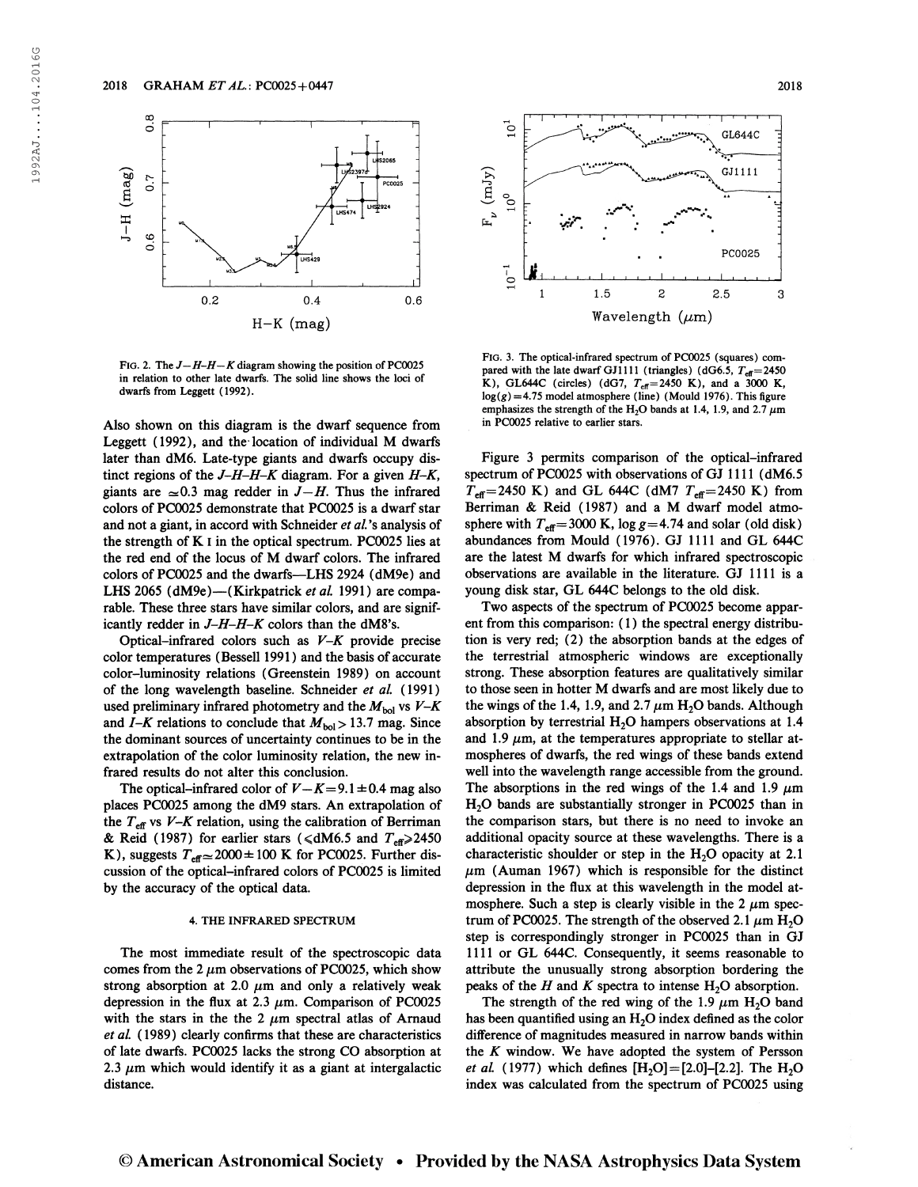

FIG. 2. The  $J-H-H-K$  diagram showing the position of PC0025 in relation to other late dwarfs. The solid line shows the loci of dwarfs from Leggett (1992).

Also shown on this diagram is the dwarf sequence from Leggett (1992), and the location of individual M dwarfs later than dM6. Late-type giants and dwarfs occupy distinct regions of the  $J-H-H-K$  diagram. For a given  $H-K$ , giants are  $\approx 0.3$  mag redder in  $J-H$ . Thus the infrared colors of PC0025 demonstrate that PC0025 is a dwarf star and not a giant, in accord with Schneider et al.'s analysis of the strength of  $K$  I in the optical spectrum. PC0025 lies at the red end of the locus of M dwarf colors. The infrared colors of PC0025 and the dwarfs—LHS 2924 (dM9e) and LHS 2065 (dM9e)—(Kirkpatrick et al. 1991) are comparable. These three stars have similar colors, and are significantly redder in J-H-H-K colors than the dM8's.

Optical-infrared colors such as  $V-K$  provide precise color temperatures (Bessell 1991 ) and the basis of accurate color-luminosity relations (Greenstein 1989) on account of the long wavelength baseline. Schneider et al. (1991) used preliminary infrared photometry and the  $M_{bol}$  vs  $V-K$ and I-K relations to conclude that  $M_{bol} > 13.7$  mag. Since the dominant sources of uncertainty continues to be in the extrapolation of the color luminosity relation, the new infrared results do not alter this conclusion.

The optical-infrared color of  $V-K=9.1 \pm 0.4$  mag also places PC0025 among the dM9 stars. An extrapolation of the  $T_{\text{eff}}$  vs V-K relation, using the calibration of Berriman & Reid (1987) for earlier stars ( $\leq dM6.5$  and  $T_{\text{eff}} \geq 2450$ K), suggests  $T_{\text{eff}} \approx 2000 \pm 100$  K for PC0025. Further discussion of the optical-infrared colors of PC0025 is limited by the accuracy of the optical data.

## 4. THE INFRARED SPECTRUM

The most immediate result of the spectroscopic data comes from the 2  $\mu$ m observations of PC0025, which show strong absorption at 2.0  $\mu$ m and only a relatively weak depression in the flux at 2.3  $\mu$ m. Comparison of PC0025 with the stars in the the 2  $\mu$ m spectral atlas of Arnaud et al. (1989) clearly confirms that these are characteristics of late dwarfs. PC0025 lacks the strong CO absorption at 2.3  $\mu$ m which would identify it as a giant at intergalactic distance.



Fig. 3. The optical-infrared spectrum of PC0025 (squares) compared with the late dwarf GJ1111 (triangles) (dG6.5,  $T_{\text{eff}}$  = 2450 K), GL644C (circles) (dG7,  $T_{\text{eff}}$ =2450 K), and a 3000 K,  $log(g) = 4.75$  model atmosphere (line) (Mould 1976). This figure emphasizes the strength of the H<sub>2</sub>O bands at 1.4, 1.9, and 2.7  $\mu$ m in PC0025 relative to earlier stars.

Figure 3 permits comparison of the optical-infrared spectrum of PC0025 with observations of GJ 1111 (dM6.5  $T_{\text{eff}}$ =2450 K) and GL 644C (dM7  $T_{\text{eff}}$ =2450 K) from Berriman & Reid (1987) and a M dwarf model atmosphere with  $T_{\text{eff}}$ =3000 K, log g=4.74 and solar (old disk) abundances from Mould (1976). GJ 1111 and GL 644C are the latest M dwarfs for which infrared spectroscopic observations are available in the literature. GJ 1111 is a young disk star, GL 644C belongs to the old disk.

Two aspects of the spectrum of PC0025 become apparent from this comparison: (1) the spectral energy distribution is very red; (2) the absorption bands at the edges of the terrestrial atmospheric windows are exceptionally strong. These absorption features are qualitatively similar to those seen in hotter M dwarfs and are most likely due to the wings of the 1.4, 1.9, and 2.7  $\mu$ m H<sub>2</sub>O bands. Although absorption by terrestrial  $H_2O$  hampers observations at 1.4 and 1.9  $\mu$ m, at the temperatures appropriate to stellar atmospheres of dwarfs, the red wings of these bands extend well into the wavelength range accessible from the ground. The absorptions in the red wings of the 1.4 and 1.9  $\mu$ m  $H<sub>2</sub>O$  bands are substantially stronger in PC0025 than in the comparison stars, but there is no need to invoke an additional opacity source at these wavelengths. There is a characteristic shoulder or step in the  $H<sub>2</sub>O$  opacity at 2.1  $\mu$ m (Auman 1967) which is responsible for the distinct depression in the flux at this wavelength in the model atmosphere. Such a step is clearly visible in the 2  $\mu$ m spectrum of PC0025. The strength of the observed 2.1  $\mu$ m H<sub>2</sub>O step is correspondingly stronger in PC0025 than in GJ 1111 or GL 644C. Consequently, it seems reasonable to attribute the unusually strong absorption bordering the peaks of the H and K spectra to intense  $H<sub>2</sub>O$  absorption.

The strength of the red wing of the 1.9  $\mu$ m H<sub>2</sub>O band has been quantified using an  $H<sub>2</sub>O$  index defined as the color difference of magnitudes measured in narrow bands within the  $K$  window. We have adopted the system of Persson *et al.* (1977) which defines  $[H_2O]=[2.0]$ -[2.2]. The  $H_2O$ index was calculated from the spectrum of PC0025 using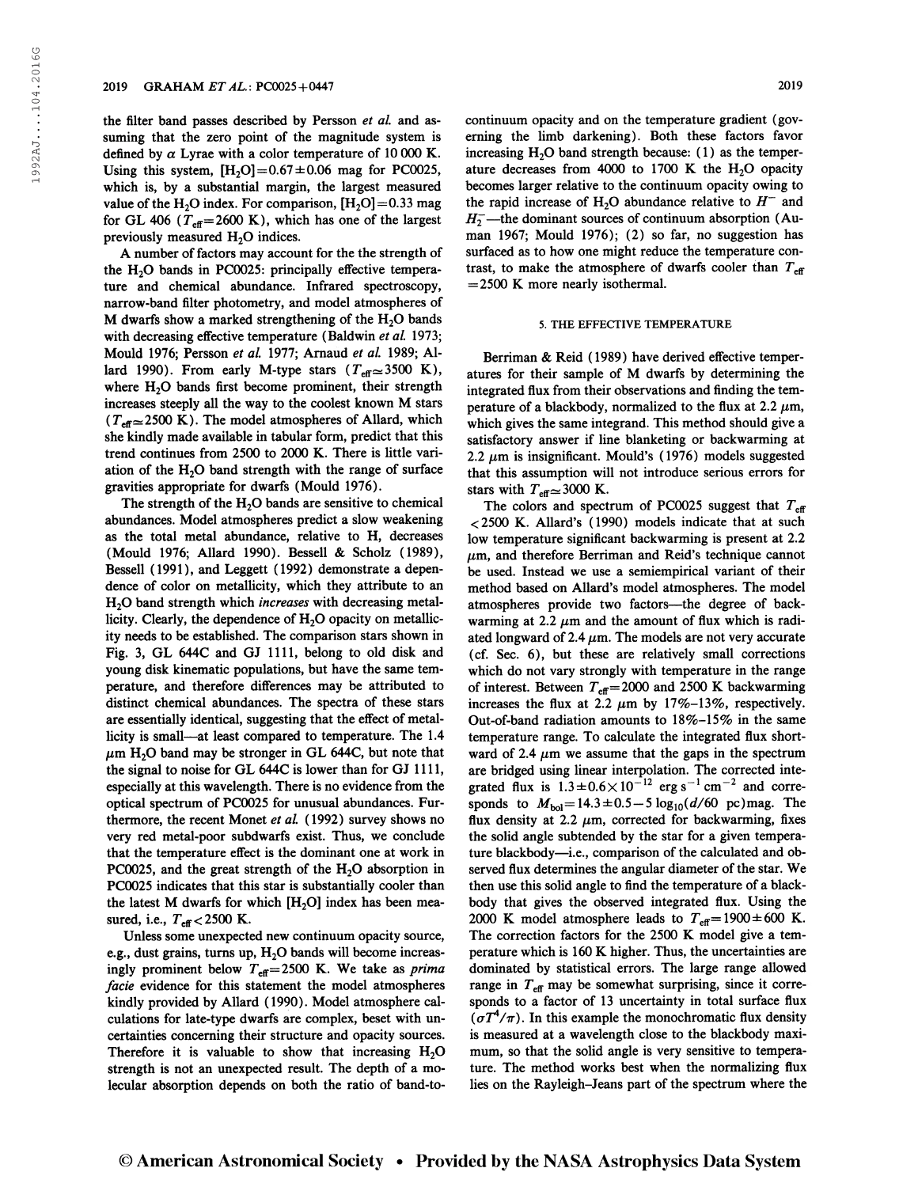the filter band passes described by Persson et al. and assuming that the zero point of the magnitude system is defined by  $\alpha$  Lyrae with a color temperature of 10 000 K. Using this system,  $[H<sub>2</sub>O] = 0.67 \pm 0.06$  mag for PC0025, which is, by a substantial margin, the largest measured value of the H<sub>2</sub>O index. For comparison,  $[H_2O]=0.33$  mag for GL 406 ( $T_{\text{eff}}$ =2600 K), which has one of the largest previously measured  $H_2O$  indices.

A number of factors may account for the the strength of the H<sub>2</sub>O bands in PC0025: principally effective temperature and chemical abundance. Infrared spectroscopy, narrow-band filter photometry, and model atmospheres of M dwarfs show a marked strengthening of the  $H<sub>2</sub>O$  bands with decreasing effective temperature (Baldwin et al. 1973; Mould 1976; Persson et al. 1977; Arnaud et al. 1989; Allard 1990). From early M-type stars  $(T_{\text{eff}} \approx 3500 \text{ K})$ , where  $H_2O$  bands first become prominent, their strength increases steeply all the way to the coolest known M stars ( $T_{\text{eff}} \approx 2500 \text{ K}$ ). The model atmospheres of Allard, which she kindly made available in tabular form, predict that this trend continues from 2500 to 2000 K. There is little variation of the  $H<sub>2</sub>O$  band strength with the range of surface gravities appropriate for dwarfs (Mould 1976).

The strength of the  $H_2O$  bands are sensitive to chemical abundances. Model atmospheres predict a slow weakening as the total metal abundance, relative to H, decreases (Mould 1976; Allard 1990). Bessell & Scholz (1989), Bessell (1991), and Leggett (1992) demonstrate a dependence of color on metallicity, which they attribute to an H<sub>2</sub>O band strength which *increases* with decreasing metallicity. Clearly, the dependence of  $H_2O$  opacity on metallicity needs to be established. The comparison stars shown in Fig. 3, GL 644C and GJ 1111, belong to old disk and young disk kinematic populations, but have the same temperature, and therefore differences may be attributed to distinct chemical abundances. The spectra of these stars are essentially identical, suggesting that the effect of metallicity is small—at least compared to temperature. The 1.4  $\mu$ m H<sub>2</sub>O band may be stronger in GL 644C, but note that the signal to noise for GL 644C is lower than for GJ 1111, especially at this wavelength. There is no evidence from the optical spectrum of PC0025 for unusual abundances. Furthermore, the recent Monet et al. (1992) survey shows no very red metal-poor subdwarfs exist. Thus, we conclude that the temperature effect is the dominant one at work in PC0025, and the great strength of the  $H_2O$  absorption in PC0025 indicates that this star is substantially cooler than the latest M dwarfs for which  $[H<sub>2</sub>O]$  index has been measured, i.e.,  $T_{\text{eff}}$  < 2500 K.

Unless some unexpected new continuum opacity source, e.g., dust grains, turns up,  $H_2O$  bands will become increasingly prominent below  $T_{\text{eff}}=2500$  K. We take as *prima* facie evidence for this statement the model atmospheres kindly provided by Allard (1990). Model atmosphere calculations for late-type dwarfs are complex, beset with uncertainties concerning their structure and opacity sources. Therefore it is valuable to show that increasing  $H_2O$ strength is not an unexpected result. The depth of a molecular absorption depends on both the ratio of band-tocontinuum opacity and on the temperature gradient (governing the limb darkening). Both these factors favor increasing  $H<sub>2</sub>O$  band strength because: (1) as the temperature decreases from 4000 to 1700 K the  $H<sub>2</sub>O$  opacity becomes larger relative to the continuum opacity owing to the rapid increase of H<sub>2</sub>O abundance relative to  $H^-$  and  $H_2^-$ —the dominant sources of continuum absorption (Auman 1967; Mould 1976); (2) so far, no suggestion has surfaced as to how one might reduce the temperature contrast, to make the atmosphere of dwarfs cooler than  $T_{\text{eff}}$  $=$  2500 K more nearly isothermal.

#### 5. THE EFFECTIVE TEMPERATURE

Berriman & Reid ( 1989) have derived effective temperatures for their sample of M dwarfs by determining the integrated flux from their observations and finding the temperature of a blackbody, normalized to the flux at 2.2  $\mu$ m, which gives the same integrand. This method should give a satisfactory answer if line blanketing or backwarming at 2.2  $\mu$ m is insignificant. Mould's (1976) models suggested that this assumption will not introduce serious errors for stars with  $T_{\text{eff}} \approx 3000$  K.

The colors and spectrum of PC0025 suggest that  $T_{\text{eff}}$ <2500 K. Allard's (1990) models indicate that at such low temperature significant backwarming is present at 2.2  $\mu$ m, and therefore Berriman and Reid's technique cannot be used. Instead we use a semiempirical variant of their method based on Allard's model atmospheres. The model atmospheres provide two factors—the degree of backwarming at 2.2  $\mu$ m and the amount of flux which is radiated longward of 2.4  $\mu$ m. The models are not very accurate (cf. Sec. 6), but these are relatively small corrections which do not vary strongly with temperature in the range of interest. Between  $T_{\text{eff}}$  = 2000 and 2500 K backwarming increases the flux at 2.2  $\mu$ m by 17%-13%, respectively. Out-of-band radiation amounts to  $18\% - 15\%$  in the same temperature range. To calculate the integrated flux shortward of 2.4  $\mu$ m we assume that the gaps in the spectrum are bridged using linear interpolation. The corrected integrated flux is  $1.3 \pm 0.6 \times 10^{-12}$  erg s<sup>-1</sup> cm<sup>-2</sup> and corresponds to  $M_{bol} = 14.3 \pm 0.5 - 5 \log_{10}(d/60 \text{ pc})$  mag. The flux density at 2.2  $\mu$ m, corrected for backwarming, fixes the solid angle subtended by the star for a given temperature blackbody—i.e., comparison of the calculated and observed flux determines the angular diameter of the star. We then use this solid angle to find the temperature of a blackbody that gives the observed integrated flux. Using the 2000 K model atmosphere leads to  $T_{\text{eff}} = 1900 \pm 600$  K. The correction factors for the 2500 K model give a temperature which is 160 K higher. Thus, the uncertainties are dominated by statistical errors. The large range allowed range in  $T_{\text{eff}}$  may be somewhat surprising, since it corresponds to a factor of 13 uncertainty in total surface flux  $(\sigma T^4/\pi)$ . In this example the monochromatic flux density is measured at a wavelength close to the blackbody maximum, so that the solid angle is very sensitive to temperature. The method works best when the normalizing flux lies on the Rayleigh-Jeans part of the spectrum where the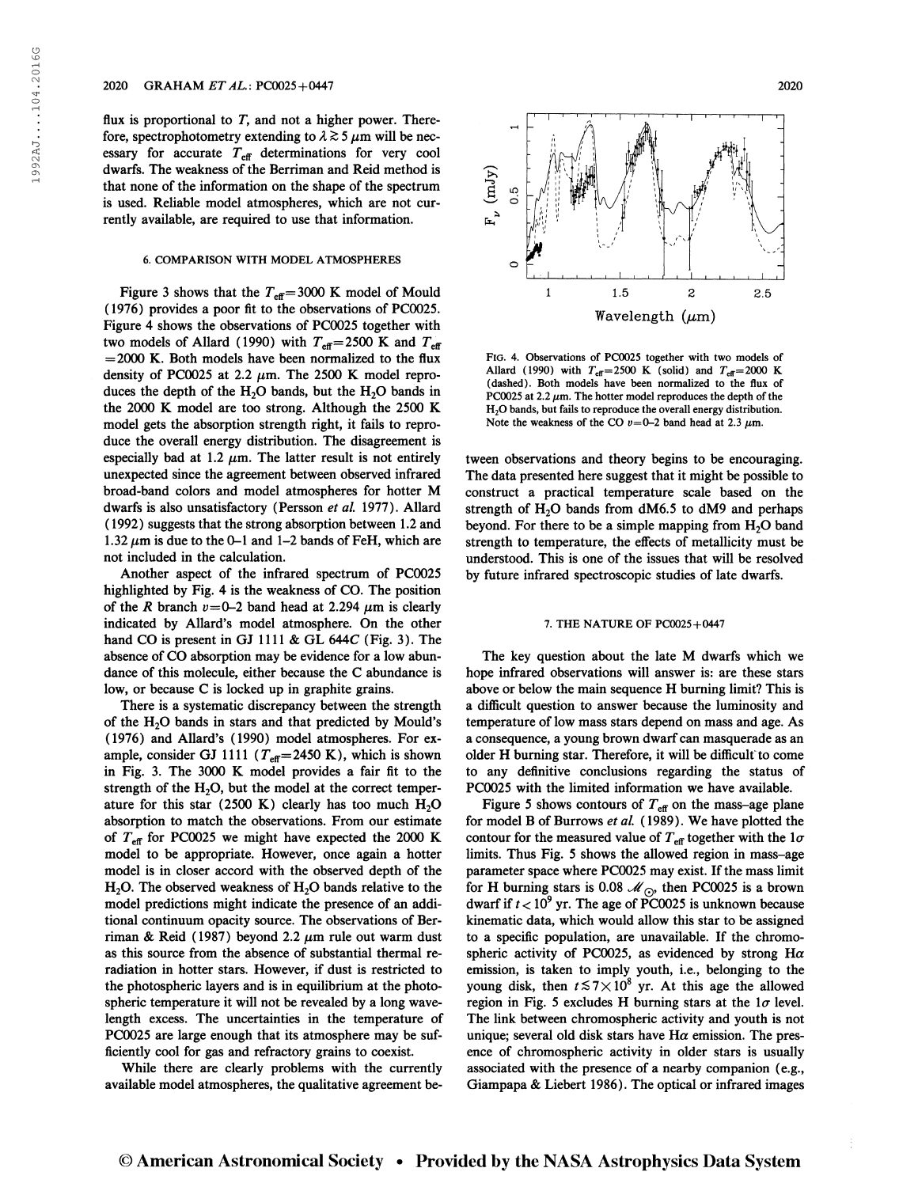flux is proportional to  $T$ , and not a higher power. Therefore, spectrophotometry extending to  $\lambda \gtrsim 5 \mu$ m will be necessary for accurate  $T_{\text{eff}}$  determinations for very cool dwarfs. The weakness of the Berriman and Reid method is that none of the information on the shape of the spectrum is used. Reliable model atmospheres, which are not currently available, are required to use that information.

## 6. COMPARISON WITH MODEL ATMOSPHERES

Figure 3 shows that the  $T_{\text{eff}}$  = 3000 K model of Mould ( 1976) provides a poor fit to the observations of PC0025. Figure 4 shows the observations of PC0025 together with two models of Allard (1990) with  $T_{\text{eff}}=2500 \text{ K}$  and  $T_{\text{eff}}$  $=2000$  K. Both models have been normalized to the flux density of PC0025 at 2.2  $\mu$ m. The 2500 K model reproduces the depth of the  $H_2O$  bands, but the  $H_2O$  bands in the 2000 K model are too strong. Although the 2500 K model gets the absorption strength right, it fails to reproduce the overall energy distribution. The disagreement is especially bad at 1.2  $\mu$ m. The latter result is not entirely unexpected since the agreement between observed infrared broad-band colors and model atmospheres for hotter M dwarfs is also unsatisfactory (Persson et al. 1977). Allard ( 1992) suggests that the strong absorption between 1.2 and 1.32  $\mu$ m is due to the 0-1 and 1-2 bands of FeH, which are not included in the calculation.

Another aspect of the infrared spectrum of PC0025 highlighted by Fig. 4 is the weakness of CO. The position of the R branch  $v=0-2$  band head at 2.294  $\mu$ m is clearly indicated by Allard's model atmosphere. On the other hand CO is present in GJ 1111 & GL 644C (Fig. 3). The absence of CO absorption may be evidence for a low abundance of this molecule, either because the C abundance is low, or because C is locked up in graphite grains.

There is a systematic discrepancy between the strength of the  $H_2O$  bands in stars and that predicted by Mould's (1976) and Allard's (1990) model atmospheres. For example, consider GJ 1111 ( $T_{\text{eff}}$ =2450 K), which is shown in Fig. 3. The 3000 K model provides a fair fit to the strength of the  $H_2O$ , but the model at the correct temperature for this star  $(2500 \text{ K})$  clearly has too much  $H<sub>2</sub>O$ absorption to match the observations. From our estimate of  $T_{\text{eff}}$  for PC0025 we might have expected the 2000 K model to be appropriate. However, once again a hotter model is in closer accord with the observed depth of the  $H<sub>2</sub>O$ . The observed weakness of  $H<sub>2</sub>O$  bands relative to the model predictions might indicate the presence of an additional continuum opacity source. The observations of Berriman & Reid (1987) beyond 2.2  $\mu$ m rule out warm dust as this source from the absence of substantial thermal reradiation in hotter stars. However, if dust is restricted to the photospheric layers and is in equilibrium at the photospheric temperature it will not be revealed by a long wavelength excess. The uncertainties in the temperature of PC0025 are large enough that its atmosphere may be sufficiently cool for gas and refractory grains to coexist.

While there are clearly problems with the currently available model atmospheres, the qualitative agreement be-



FlG. 4. Observations of PC0025 together with two models of Allard (1990) with  $T_{\text{eff}}=2500 \text{ K}$  (solid) and  $T_{\text{eff}}=2000 \text{ K}$ (dashed). Both models have been normalized to the flux of PC0025 at 2.2  $\mu$ m. The hotter model reproduces the depth of the H20 bands, but fails to reproduce the overall energy distribution. Note the weakness of the CO  $v=0-2$  band head at 2.3  $\mu$ m.

tween observations and theory begins to be encouraging. The data presented here suggest that it might be possible to construct a practical temperature scale based on the strength of  $H_2O$  bands from dM6.5 to dM9 and perhaps beyond. For there to be a simple mapping from  $H_2O$  band strength to temperature, the effects of metallicity must be understood. This is one of the issues that will be resolved by future infrared spectroscopic studies of late dwarfs.

### 7. THE NATURE OF PC0025+0447

The key question about the late M dwarfs which we hope infrared observations will answer is: are these stars above or below the main sequence H burning limit? This is a difficult question to answer because the luminosity and temperature of low mass stars depend on mass and age. As a consequence, a young brown dwarf can masquerade as an older H burning star. Therefore, it will be difficult to come to any definitive conclusions regarding the status of PC0025 with the limited information we have available.

Figure 5 shows contours of  $T_{\text{eff}}$  on the mass-age plane for model B of Burrows et al. (1989). We have plotted the contour for the measured value of  $T_{\text{eff}}$  together with the  $1\sigma$ limits. Thus Fig. 5 shows the allowed region in mass-age parameter space where PC0025 may exist. If the mass limit for H burning stars is 0.08  $\mathcal{M}_{\odot}$ , then PC0025 is a brown dwarf if  $t < 10^9$  yr. The age of PC0025 is unknown because kinematic data, which would allow this star to be assigned to a specific population, are unavailable. If the chromospheric activity of PC0025, as evidenced by strong H $\alpha$ emission, is taken to imply youth, i.e., belonging to the young disk, then  $t \lesssim 7 \times 10^8$  yr. At this age the allowed region in Fig. 5 excludes H burning stars at the  $1\sigma$  level. The link between chromospheric activity and youth is not unique; several old disk stars have H $\alpha$  emission. The presence of chromospheric activity in older stars is usually associated with the presence of a nearby companion (e.g., Giampapa & Liebert 1986). The optical or infrared images